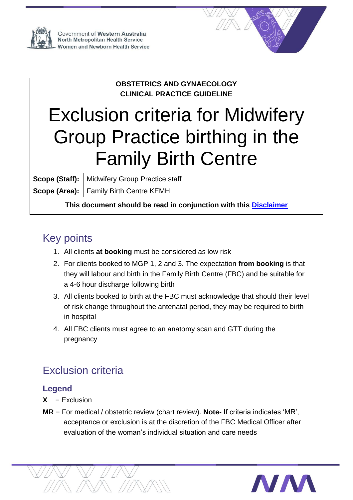

Government of Western Australia North Metropolitan Health Service **Women and Newborn Health Service** 



#### **OBSTETRICS AND GYNAECOLOGY CLINICAL PRACTICE GUIDELINE**

# Exclusion criteria for Midwifery Group Practice birthing in the Family Birth Centre

**Scope (Staff):** Midwifery Group Practice staff

**Scope (Area):** Family Birth Centre KEMH

**This document should be read in conjunction with this [Disclaimer](http://www.kemh.health.wa.gov.au/For-health-professionals/Clinical-guidelines/Disclaimer)**

## Key points

- 1. All clients **at booking** must be considered as low risk
- 2. For clients booked to MGP 1, 2 and 3. The expectation **from booking** is that they will labour and birth in the Family Birth Centre (FBC) and be suitable for a 4-6 hour discharge following birth
- 3. All clients booked to birth at the FBC must acknowledge that should their level of risk change throughout the antenatal period, they may be required to birth in hospital
- 4. All FBC clients must agree to an anatomy scan and GTT during the pregnancy

## Exclusion criteria

### **Legend**

- $X = Exclusion$
- **MR** = For medical / obstetric review (chart review). **Note** If criteria indicates 'MR', acceptance or exclusion is at the discretion of the FBC Medical Officer after evaluation of the woman's individual situation and care needs

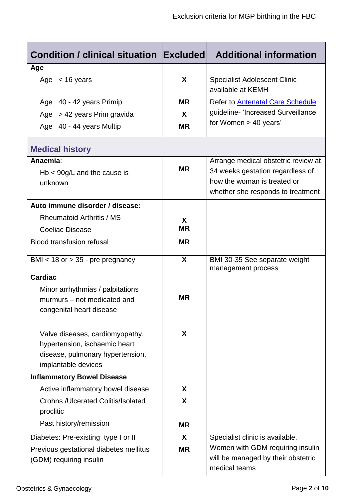| Condition / clinical situation Excluded                 |           | <b>Additional information</b>                            |  |  |
|---------------------------------------------------------|-----------|----------------------------------------------------------|--|--|
| Age                                                     |           |                                                          |  |  |
| Age $<$ 16 years                                        | X         | <b>Specialist Adolescent Clinic</b><br>available at KEMH |  |  |
| Age 40 - 42 years Primip                                | <b>MR</b> | <b>Refer to Antenatal Care Schedule</b>                  |  |  |
| Age $> 42$ years Prim gravida                           | X         | guideline- 'Increased Surveillance                       |  |  |
| Age 40 - 44 years Multip                                | <b>MR</b> | for Women $> 40$ years'                                  |  |  |
| <b>Medical history</b>                                  |           |                                                          |  |  |
| Anaemia:                                                |           | Arrange medical obstetric review at                      |  |  |
| $Hb < 90g/L$ and the cause is                           | <b>MR</b> | 34 weeks gestation regardless of                         |  |  |
| unknown                                                 |           | how the woman is treated or                              |  |  |
|                                                         |           | whether she responds to treatment                        |  |  |
| Auto immune disorder / disease:                         |           |                                                          |  |  |
| <b>Rheumatoid Arthritis / MS</b>                        | X         |                                                          |  |  |
| <b>Coeliac Disease</b>                                  | <b>MR</b> |                                                          |  |  |
| <b>Blood transfusion refusal</b>                        | <b>MR</b> |                                                          |  |  |
| BMI $<$ 18 or $>$ 35 - pre pregnancy                    | X         | BMI 30-35 See separate weight<br>management process      |  |  |
| <b>Cardiac</b>                                          |           |                                                          |  |  |
| Minor arrhythmias / palpitations                        |           |                                                          |  |  |
| murmurs – not medicated and                             | <b>MR</b> |                                                          |  |  |
| congenital heart disease                                |           |                                                          |  |  |
|                                                         |           |                                                          |  |  |
| Valve diseases, cardiomyopathy,                         | X         |                                                          |  |  |
| hypertension, ischaemic heart                           |           |                                                          |  |  |
| disease, pulmonary hypertension,<br>implantable devices |           |                                                          |  |  |
| <b>Inflammatory Bowel Disease</b>                       |           |                                                          |  |  |
| Active inflammatory bowel disease                       | X         |                                                          |  |  |
| <b>Crohns / Ulcerated Colitis/Isolated</b>              | X         |                                                          |  |  |
| proclitic                                               |           |                                                          |  |  |
| Past history/remission                                  | <b>MR</b> |                                                          |  |  |
| Diabetes: Pre-existing type I or II                     | X         | Specialist clinic is available.                          |  |  |
| Previous gestational diabetes mellitus                  | <b>MR</b> | Women with GDM requiring insulin                         |  |  |
| (GDM) requiring insulin                                 |           | will be managed by their obstetric                       |  |  |
|                                                         |           | medical teams                                            |  |  |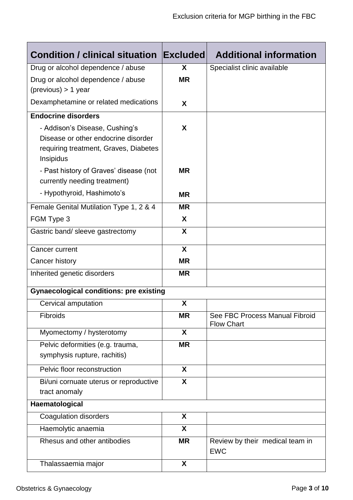| <b>Condition / clinical situation</b>                                                                                       | <b>Excluded</b> | <b>Additional information</b>                       |
|-----------------------------------------------------------------------------------------------------------------------------|-----------------|-----------------------------------------------------|
| Drug or alcohol dependence / abuse                                                                                          | X               | Specialist clinic available                         |
| Drug or alcohol dependence / abuse<br>$(previous) > 1$ year                                                                 | <b>MR</b>       |                                                     |
| Dexamphetamine or related medications                                                                                       | X               |                                                     |
| <b>Endocrine disorders</b>                                                                                                  |                 |                                                     |
| - Addison's Disease, Cushing's<br>Disease or other endocrine disorder<br>requiring treatment, Graves, Diabetes<br>Insipidus | X               |                                                     |
| - Past history of Graves' disease (not<br>currently needing treatment)                                                      | <b>MR</b>       |                                                     |
| - Hypothyroid, Hashimoto's                                                                                                  | <b>MR</b>       |                                                     |
| Female Genital Mutilation Type 1, 2 & 4                                                                                     | <b>MR</b>       |                                                     |
| FGM Type 3                                                                                                                  | X               |                                                     |
| Gastric band/ sleeve gastrectomy                                                                                            | X               |                                                     |
| Cancer current                                                                                                              | X               |                                                     |
| Cancer history                                                                                                              | <b>MR</b>       |                                                     |
| Inherited genetic disorders                                                                                                 | <b>MR</b>       |                                                     |
| <b>Gynaecological conditions: pre existing</b>                                                                              |                 |                                                     |
| Cervical amputation                                                                                                         | X               |                                                     |
| Fibroids                                                                                                                    | <b>MR</b>       | See FBC Process Manual Fibroid<br><b>Flow Chart</b> |
| Myomectomy / hysterotomy                                                                                                    | X               |                                                     |
| Pelvic deformities (e.g. trauma,<br>symphysis rupture, rachitis)                                                            | <b>MR</b>       |                                                     |
| Pelvic floor reconstruction                                                                                                 | X               |                                                     |
| Bi/uni cornuate uterus or reproductive                                                                                      | X               |                                                     |
| tract anomaly                                                                                                               |                 |                                                     |
| Haematological                                                                                                              |                 |                                                     |
| <b>Coagulation disorders</b>                                                                                                | X               |                                                     |
| Haemolytic anaemia                                                                                                          | X               |                                                     |
| Rhesus and other antibodies                                                                                                 | <b>MR</b>       | Review by their medical team in<br><b>EWC</b>       |
| Thalassaemia major                                                                                                          | X               |                                                     |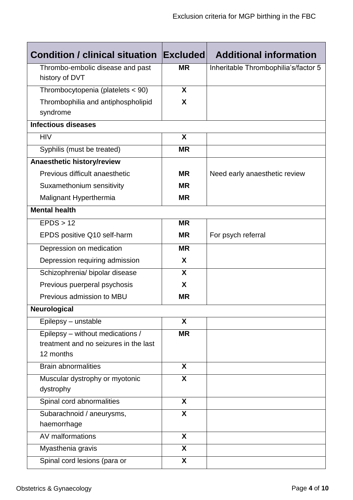| <b>Condition / clinical situation</b> | <b>Excluded</b>         | <b>Additional information</b>        |  |  |
|---------------------------------------|-------------------------|--------------------------------------|--|--|
| Thrombo-embolic disease and past      | <b>MR</b>               | Inheritable Thrombophilia's/factor 5 |  |  |
| history of DVT                        |                         |                                      |  |  |
| Thrombocytopenia (platelets < 90)     | X                       |                                      |  |  |
| Thrombophilia and antiphospholipid    | X                       |                                      |  |  |
| syndrome                              |                         |                                      |  |  |
| <b>Infectious diseases</b>            |                         |                                      |  |  |
| <b>HIV</b>                            | X                       |                                      |  |  |
| Syphilis (must be treated)            | <b>MR</b>               |                                      |  |  |
| Anaesthetic history/review            |                         |                                      |  |  |
| Previous difficult anaesthetic        | <b>MR</b>               | Need early anaesthetic review        |  |  |
| Suxamethonium sensitivity             | <b>MR</b>               |                                      |  |  |
| Malignant Hyperthermia                | <b>MR</b>               |                                      |  |  |
| <b>Mental health</b>                  |                         |                                      |  |  |
| EPDS > 12                             | <b>MR</b>               |                                      |  |  |
| EPDS positive Q10 self-harm           | <b>MR</b>               | For psych referral                   |  |  |
| Depression on medication              | <b>MR</b>               |                                      |  |  |
| Depression requiring admission        | X                       |                                      |  |  |
| Schizophrenia/ bipolar disease        | X                       |                                      |  |  |
| Previous puerperal psychosis          | X                       |                                      |  |  |
| Previous admission to MBU             | <b>MR</b>               |                                      |  |  |
| <b>Neurological</b>                   |                         |                                      |  |  |
| Epilepsy - unstable                   | X                       |                                      |  |  |
| Epilepsy - without medications /      | <b>MR</b>               |                                      |  |  |
| treatment and no seizures in the last |                         |                                      |  |  |
| 12 months                             |                         |                                      |  |  |
| <b>Brain abnormalities</b>            | X                       |                                      |  |  |
| Muscular dystrophy or myotonic        | $\overline{\mathsf{X}}$ |                                      |  |  |
| dystrophy                             |                         |                                      |  |  |
| Spinal cord abnormalities             | X                       |                                      |  |  |
| Subarachnoid / aneurysms,             | X                       |                                      |  |  |
| haemorrhage                           |                         |                                      |  |  |
| AV malformations                      | X                       |                                      |  |  |
| Myasthenia gravis                     | $\overline{\mathsf{x}}$ |                                      |  |  |
| Spinal cord lesions (para or          | X                       |                                      |  |  |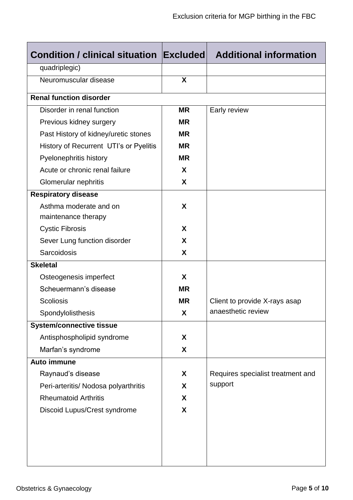| <b>Condition / clinical situation Excluded</b> |                  | <b>Additional information</b>     |  |  |
|------------------------------------------------|------------------|-----------------------------------|--|--|
| quadriplegic)                                  |                  |                                   |  |  |
| Neuromuscular disease                          | $\boldsymbol{X}$ |                                   |  |  |
| <b>Renal function disorder</b>                 |                  |                                   |  |  |
| Disorder in renal function                     | <b>MR</b>        | Early review                      |  |  |
| Previous kidney surgery                        | <b>MR</b>        |                                   |  |  |
| Past History of kidney/uretic stones           | <b>MR</b>        |                                   |  |  |
| History of Recurrent UTI's or Pyelitis         | <b>MR</b>        |                                   |  |  |
| Pyelonephritis history                         | <b>MR</b>        |                                   |  |  |
| Acute or chronic renal failure                 | X                |                                   |  |  |
| Glomerular nephritis                           | X                |                                   |  |  |
| <b>Respiratory disease</b>                     |                  |                                   |  |  |
| Asthma moderate and on                         | X                |                                   |  |  |
| maintenance therapy                            |                  |                                   |  |  |
| <b>Cystic Fibrosis</b>                         | X                |                                   |  |  |
| Sever Lung function disorder                   | X                |                                   |  |  |
| Sarcoidosis                                    | X                |                                   |  |  |
| <b>Skeletal</b>                                |                  |                                   |  |  |
| Osteogenesis imperfect                         | X                |                                   |  |  |
| Scheuermann's disease                          | <b>MR</b>        |                                   |  |  |
| <b>Scoliosis</b>                               | <b>MR</b>        | Client to provide X-rays asap     |  |  |
| Spondylolisthesis                              | X                | anaesthetic review                |  |  |
| <b>System/connective tissue</b>                |                  |                                   |  |  |
| Antisphospholipid syndrome                     | X                |                                   |  |  |
| Marfan's syndrome                              | X                |                                   |  |  |
| Auto immune                                    |                  |                                   |  |  |
| Raynaud's disease                              | X                | Requires specialist treatment and |  |  |
| Peri-arteritis/ Nodosa polyarthritis           | X                | support                           |  |  |
| <b>Rheumatoid Arthritis</b>                    | X                |                                   |  |  |
| Discoid Lupus/Crest syndrome                   | X                |                                   |  |  |
|                                                |                  |                                   |  |  |
|                                                |                  |                                   |  |  |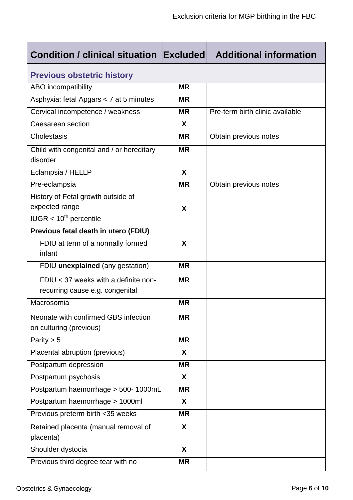| <b>Condition / clinical situation Excluded</b>                                      |                  | <b>Additional information</b>   |  |  |  |
|-------------------------------------------------------------------------------------|------------------|---------------------------------|--|--|--|
| <b>Previous obstetric history</b>                                                   |                  |                                 |  |  |  |
| ABO incompatibility                                                                 | <b>MR</b>        |                                 |  |  |  |
| Asphyxia: fetal Apgars < 7 at 5 minutes                                             | <b>MR</b>        |                                 |  |  |  |
| Cervical incompetence / weakness                                                    | <b>MR</b>        | Pre-term birth clinic available |  |  |  |
| Caesarean section                                                                   | X                |                                 |  |  |  |
| Cholestasis                                                                         | <b>MR</b>        | Obtain previous notes           |  |  |  |
| Child with congenital and / or hereditary<br>disorder                               | <b>MR</b>        |                                 |  |  |  |
| Eclampsia / HELLP                                                                   | X                |                                 |  |  |  |
| Pre-eclampsia                                                                       | <b>MR</b>        | Obtain previous notes           |  |  |  |
| History of Fetal growth outside of<br>expected range<br>$IUGR < 10^{th}$ percentile | X                |                                 |  |  |  |
| Previous fetal death in utero (FDIU)                                                |                  |                                 |  |  |  |
| FDIU at term of a normally formed<br>infant                                         | X                |                                 |  |  |  |
| FDIU unexplained (any gestation)                                                    | <b>MR</b>        |                                 |  |  |  |
| FDIU < 37 weeks with a definite non-<br>recurring cause e.g. congenital             | <b>MR</b>        |                                 |  |  |  |
| Macrosomia                                                                          | <b>MR</b>        |                                 |  |  |  |
| Neonate with confirmed GBS infection<br>on culturing (previous)                     | <b>MR</b>        |                                 |  |  |  |
| Parity $> 5$                                                                        | <b>MR</b>        |                                 |  |  |  |
| Placental abruption (previous)                                                      | $\mathbf{x}$     |                                 |  |  |  |
| Postpartum depression                                                               | <b>MR</b>        |                                 |  |  |  |
| Postpartum psychosis                                                                | X                |                                 |  |  |  |
| Postpartum haemorrhage > 500-1000mL                                                 | <b>MR</b>        |                                 |  |  |  |
| Postpartum haemorrhage > 1000ml                                                     | X                |                                 |  |  |  |
| Previous preterm birth <35 weeks                                                    | <b>MR</b>        |                                 |  |  |  |
| Retained placenta (manual removal of<br>placenta)                                   | $\boldsymbol{X}$ |                                 |  |  |  |
| Shoulder dystocia                                                                   | X                |                                 |  |  |  |
| Previous third degree tear with no                                                  | <b>MR</b>        |                                 |  |  |  |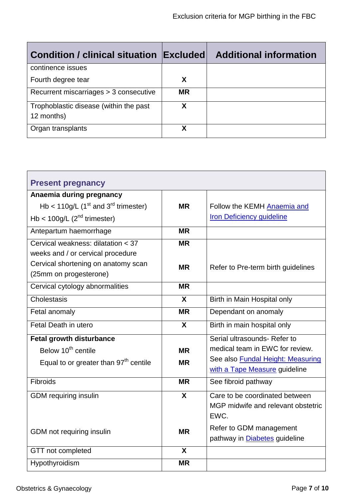| <b>Condition / clinical situation Excluded</b>       |           | <b>Additional information</b> |
|------------------------------------------------------|-----------|-------------------------------|
| continence issues                                    |           |                               |
| Fourth degree tear                                   | X         |                               |
| Recurrent miscarriages > 3 consecutive               | <b>MR</b> |                               |
| Trophoblastic disease (within the past<br>12 months) | х         |                               |
| Organ transplants                                    | χ         |                               |

| <b>Present pregnancy</b>                            |                         |                                          |
|-----------------------------------------------------|-------------------------|------------------------------------------|
| Anaemia during pregnancy                            |                         |                                          |
| Hb < $110g/L$ (1 <sup>st</sup> and $3rd$ trimester) | <b>MR</b>               | Follow the KEMH Anaemia and              |
| Hb < $100g/L$ ( $2nd$ trimester)                    |                         | <b>Iron Deficiency guideline</b>         |
| Antepartum haemorrhage                              | <b>MR</b>               |                                          |
| Cervical weakness: dilatation < 37                  | <b>MR</b>               |                                          |
| weeks and / or cervical procedure                   |                         |                                          |
| Cervical shortening on anatomy scan                 | <b>MR</b>               | Refer to Pre-term birth guidelines       |
| (25mm on progesterone)                              |                         |                                          |
| Cervical cytology abnormalities                     | <b>MR</b>               |                                          |
| Cholestasis                                         | $\mathbf{x}$            | Birth in Main Hospital only              |
| Fetal anomaly                                       | <b>MR</b>               | Dependant on anomaly                     |
| Fetal Death in utero                                | $\boldsymbol{X}$        | Birth in main hospital only              |
| <b>Fetal growth disturbance</b>                     |                         | Serial ultrasounds- Refer to             |
| Below 10 <sup>th</sup> centile                      | <b>MR</b>               | medical team in EWC for review.          |
| Equal to or greater than 97 <sup>th</sup> centile   | <b>MR</b>               | See also <b>Fundal Height: Measuring</b> |
|                                                     |                         | with a Tape Measure guideline            |
| Fibroids                                            | <b>MR</b>               | See fibroid pathway                      |
| <b>GDM</b> requiring insulin                        | $\boldsymbol{X}$        | Care to be coordinated between           |
|                                                     |                         | MGP midwife and relevant obstetric       |
|                                                     |                         | EWC.                                     |
| GDM not requiring insulin                           | <b>MR</b>               | Refer to GDM management                  |
|                                                     |                         | pathway in <b>Diabetes</b> guideline     |
| GTT not completed                                   | $\overline{\mathbf{X}}$ |                                          |
| Hypothyroidism                                      | <b>MR</b>               |                                          |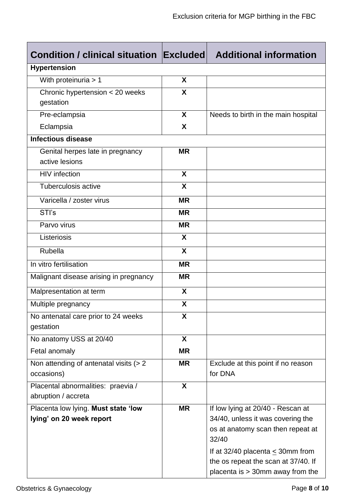| <b>Condition / clinical situation Excluded</b>   | <b>Additional information</b> |                                            |  |  |
|--------------------------------------------------|-------------------------------|--------------------------------------------|--|--|
| <b>Hypertension</b>                              |                               |                                            |  |  |
| With proteinuria > 1                             | $\boldsymbol{\mathsf{X}}$     |                                            |  |  |
| Chronic hypertension < 20 weeks                  | X                             |                                            |  |  |
| gestation                                        |                               |                                            |  |  |
| Pre-eclampsia                                    | X                             | Needs to birth in the main hospital        |  |  |
| Eclampsia                                        | X                             |                                            |  |  |
| <b>Infectious disease</b>                        |                               |                                            |  |  |
| Genital herpes late in pregnancy                 | <b>MR</b>                     |                                            |  |  |
| active lesions                                   |                               |                                            |  |  |
| <b>HIV</b> infection                             | X                             |                                            |  |  |
| Tuberculosis active                              | X                             |                                            |  |  |
| Varicella / zoster virus                         | <b>MR</b>                     |                                            |  |  |
| STI's                                            | <b>MR</b>                     |                                            |  |  |
| Parvo virus                                      | <b>MR</b>                     |                                            |  |  |
| Listeriosis                                      | X                             |                                            |  |  |
| Rubella                                          | $\boldsymbol{\mathsf{X}}$     |                                            |  |  |
| In vitro fertilisation                           | <b>MR</b>                     |                                            |  |  |
| Malignant disease arising in pregnancy           | <b>MR</b>                     |                                            |  |  |
| Malpresentation at term                          | X                             |                                            |  |  |
| Multiple pregnancy                               | X                             |                                            |  |  |
| No antenatal care prior to 24 weeks<br>gestation | X                             |                                            |  |  |
| No anatomy USS at 20/40                          | $\mathbf{X}$                  |                                            |  |  |
| Fetal anomaly                                    | <b>MR</b>                     |                                            |  |  |
| Non attending of antenatal visits (> 2           | <b>MR</b>                     | Exclude at this point if no reason         |  |  |
| occasions)                                       |                               | for DNA                                    |  |  |
| Placental abnormalities: praevia /               | $\boldsymbol{X}$              |                                            |  |  |
| abruption / accreta                              |                               |                                            |  |  |
| Placenta low lying. Must state 'low              | <b>MR</b>                     | If low lying at 20/40 - Rescan at          |  |  |
| lying' on 20 week report                         |                               | 34/40, unless it was covering the          |  |  |
|                                                  |                               | os at anatomy scan then repeat at<br>32/40 |  |  |
|                                                  |                               | If at 32/40 placenta $\leq$ 30mm from      |  |  |
|                                                  |                               | the os repeat the scan at 37/40. If        |  |  |
|                                                  |                               | placenta is > 30mm away from the           |  |  |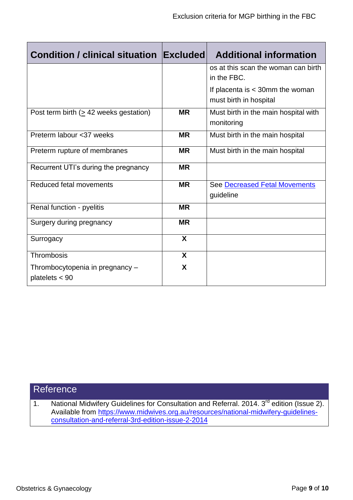| <b>Condition / clinical situation Excluded</b>      |              | <b>Additional information</b>                               |  |  |
|-----------------------------------------------------|--------------|-------------------------------------------------------------|--|--|
|                                                     |              | os at this scan the woman can birth<br>in the FBC.          |  |  |
|                                                     |              | If placenta is $<$ 30mm the woman<br>must birth in hospital |  |  |
| Post term birth ( $\geq$ 42 weeks gestation)        | <b>MR</b>    | Must birth in the main hospital with<br>monitoring          |  |  |
| Preterm labour <37 weeks                            | <b>MR</b>    | Must birth in the main hospital                             |  |  |
| Preterm rupture of membranes                        | <b>MR</b>    | Must birth in the main hospital                             |  |  |
| Recurrent UTI's during the pregnancy                | <b>MR</b>    |                                                             |  |  |
| Reduced fetal movements                             | <b>MR</b>    | See Decreased Fetal Movements<br>guideline                  |  |  |
| Renal function - pyelitis                           | <b>MR</b>    |                                                             |  |  |
| Surgery during pregnancy                            | <b>MR</b>    |                                                             |  |  |
| Surrogacy                                           | X            |                                                             |  |  |
| Thrombosis                                          | $\mathbf{x}$ |                                                             |  |  |
| Thrombocytopenia in pregnancy -<br>platelets $<$ 90 | X            |                                                             |  |  |

## **Reference**

1. National Midwifery Guidelines for Consultation and Referral. 2014. 3<sup>rd</sup> edition (Issue 2). Available from [https://www.midwives.org.au/resources/national-midwifery-guidelines](https://www.midwives.org.au/resources/national-midwifery-guidelines-consultation-and-referral-3rd-edition-issue-2-2014)[consultation-and-referral-3rd-edition-issue-2-2014](https://www.midwives.org.au/resources/national-midwifery-guidelines-consultation-and-referral-3rd-edition-issue-2-2014)